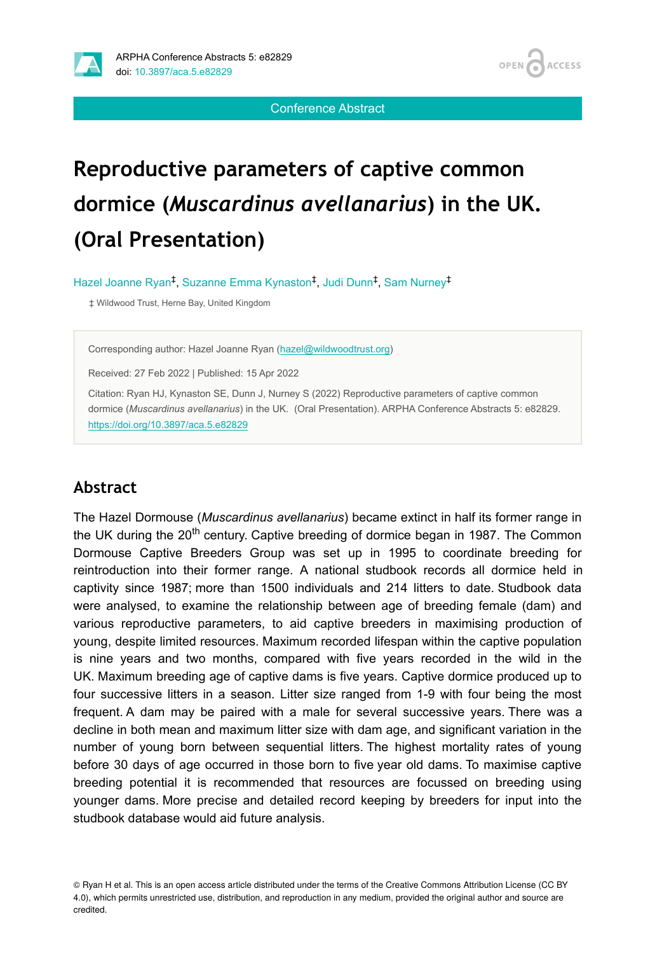**ACCESS OPEN** 

Conference Abstract

# **Reproductive parameters of captive common dormice (***Muscardinus avellanarius***) in the UK. (Oral Presentation)**

Hazel Joanne Ryan<sup>‡</sup>, Suzanne Emma Kynaston<sup>‡</sup>, Judi Dunn<sup>‡</sup>, Sam Nurney<sup>‡</sup>

‡ Wildwood Trust, Herne Bay, United Kingdom

Corresponding author: Hazel Joanne Ryan ([hazel@wildwoodtrust.org](mailto:hazel@wildwoodtrust.org))

Received: 27 Feb 2022 | Published: 15 Apr 2022

Citation: Ryan HJ, Kynaston SE, Dunn J, Nurney S (2022) Reproductive parameters of captive common dormice (*Muscardinus avellanarius*) in the UK. (Oral Presentation). ARPHA Conference Abstracts 5: e82829. <https://doi.org/10.3897/aca.5.e82829>

#### **Abstract**

The Hazel Dormouse (*Muscardinus avellanarius*) became extinct in half its former range in the UK during the 20<sup>th</sup> century. Captive breeding of dormice began in 1987. The Common Dormouse Captive Breeders Group was set up in 1995 to coordinate breeding for reintroduction into their former range. A national studbook records all dormice held in captivity since 1987; more than 1500 individuals and 214 litters to date. Studbook data were analysed, to examine the relationship between age of breeding female (dam) and various reproductive parameters, to aid captive breeders in maximising production of young, despite limited resources. Maximum recorded lifespan within the captive population is nine years and two months, compared with five years recorded in the wild in the UK. Maximum breeding age of captive dams is five years. Captive dormice produced up to four successive litters in a season. Litter size ranged from 1-9 with four being the most frequent. A dam may be paired with a male for several successive years. There was a decline in both mean and maximum litter size with dam age, and significant variation in the number of young born between sequential litters. The highest mortality rates of young before 30 days of age occurred in those born to five year old dams. To maximise captive breeding potential it is recommended that resources are focussed on breeding using younger dams. More precise and detailed record keeping by breeders for input into the studbook database would aid future analysis.

© Ryan H et al. This is an open access article distributed under the terms of the Creative Commons Attribution License (CC BY 4.0), which permits unrestricted use, distribution, and reproduction in any medium, provided the original author and source are credited.